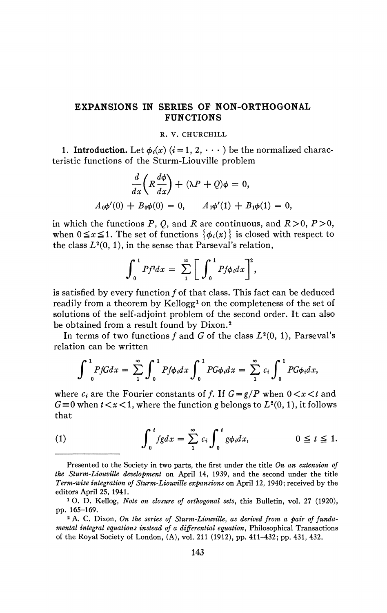## **EXPANSIONS IN SERIES OF NON-ORTHOGONAL FUNCTIONS**

## **R. V. CHURCHILL**

1. **Introduction.** Let  $\phi_i(x)$  ( $i = 1, 2, \cdots$ ) be the normalized characteristic functions of the Sturm-Liouville problem

$$
\frac{d}{dx}\left(R\frac{d\phi}{dx}\right) + (\lambda P + Q)\phi = 0,
$$
  

$$
A_0\phi'(0) + B_0\phi(0) = 0, \qquad A_1\phi'(1) + B_1\phi(1) = 0,
$$

in which the functions P, Q, and R are continuous, and  $R > 0$ ,  $P > 0$ , when  $0 \le x \le 1$ . The set of functions  $\{\phi_i(x)\}\)$  is closed with respect to the class  $L^2(0, 1)$ , in the sense that Parseval's relation,

$$
\int_0^1 P f^2 dx = \sum_1^{\infty} \left[ \int_0^1 P f \phi_i dx \right]^2,
$$

is satisfied by every function ƒ of that class. This fact can be deduced readily from a theorem by Kellogg<sup>1</sup> on the completeness of the set of solutions of the self-adjoint problem of the second order. It can also be obtained from a result found by Dixon.<sup>2</sup>

In terms of two functions  $f$  and  $G$  of the class  $L^2(0, 1)$ , Parseval's relation can be written

$$
\int_{0}^{1} P f G dx = \sum_{1}^{\infty} \int_{0}^{1} P f \phi_i dx \int_{0}^{1} P G \phi_i dx = \sum_{1}^{\infty} c_i \int_{0}^{1} P G \phi_i dx,
$$

where  $c_i$  are the Fourier constants of f. If  $G = g/P$  when  $0 < x < t$  and  $G = 0$  when  $t < r < 1$  where the function *a* belongs to  $L^2(0, 1)$  it follows  $G = 0$  when  $V \le x$ , where the function g belongs to  $L^2$  $(0, 1)$ , it follows the same state  $(0, 1)$ 

(1) 
$$
\int_0^t fg dx = \sum_1^\infty c_i \int_0^t g \phi_i dx, \qquad 0 \leq t \leq 1.
$$

**<sup>0</sup> 1^ <sup>0</sup>**Presented to the Society in two parts, the first under the title *On an extension of the Sturm-Liouville development* on April 14, 1939, and the second under the title *Term-wise integration of Sturm-Liouville expansions* on April 12, 1940; received by the editors April 25, 1941.

<sup>1</sup> O. D. Kellog, *Note on closure of orthogonal sets,* this Bulletin, vol. 27 (1920), pp. 165-169.

<sup>&</sup>lt;sup>2</sup> A. C. Dixon, *On the series of Sturm-Liouville*, as derived from a pair of funda*mental integral equations instead of a differential equation,* Philosophical Transactions of the Royal Society of London, (A), vol. 211 (1912), pp. 411-432; pp. 431, 432.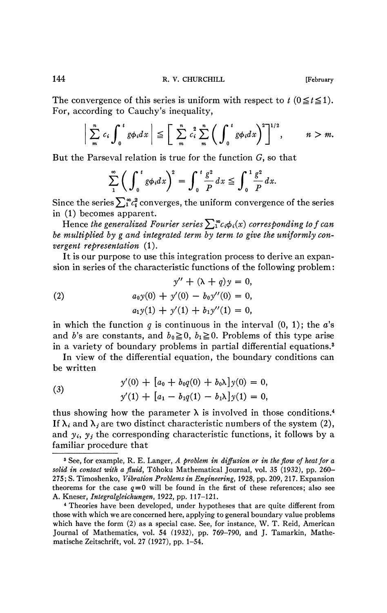The convergence of this series is uniform with respect to  $t$  ( $0 \le t \le 1$ ). For, according to Cauchy's inequality,

$$
\bigg|\sum_{m}^{n} c_i \int_0^t g \phi_i dx \bigg| \leq \bigg[\sum_{m}^{n} c_i^2 \sum_{m}^{n} \bigg(\int_0^t g \phi_i dx \bigg)^2\bigg]^{1/2}, \qquad n > m.
$$

But the Parseval relation is true for the function  $G$ , so that

$$
\sum_{1}^{\infty} \bigg( \int_{0}^{t} g \phi_{i} dx \bigg)^{2} = \int_{0}^{t} \frac{g^{2}}{P} dx \leq \int_{0}^{1} \frac{g^{2}}{P} dx.
$$

Since the series  $\sum_{{\bf i}}^{\infty} c_{{\bf i}}^2$  converges, the uniform convergence of the series in (1) becomes apparent.

Hence the generalized Fourier series  $\sum_i^{\infty}c_i\phi_i(x)$  corresponding to f can *be multiplied by g and integrated term by term to give the uniformly convergent representation* (1).

It is our purpose to use this integration process to derive an expansion in series of the characteristic functions of the following problem :

(2) 
$$
y'' + (\lambda + q)y = 0,
$$

$$
a_0 y(0) + y'(0) - b_0 y''(0) = 0,
$$

$$
a_1 y(1) + y'(1) + b_1 y''(1) = 0,
$$

in which the function *q* is continuous in the interval (0, 1); the *a's*  and b's are constants, and  $b_0 \ge 0$ ,  $b_1 \ge 0$ . Problems of this type arise in a variety of boundary problems in partial differential equations.<sup>3</sup>

In view of the differential equation, the boundary conditions can be written

(3) 
$$
y'(0) + [a_0 + b_0 q(0) + b_0 \lambda] y(0) = 0,
$$

$$
y'(1) + [a_1 - b_1 q(1) - b_1 \lambda] y(1) = 0,
$$

thus showing how the parameter  $\lambda$  is involved in those conditions.<sup>4</sup> If  $\lambda_i$  and  $\lambda_j$  are two distinct characteristic numbers of the system (2), and  $y_i$ ,  $y_j$  the corresponding characteristic functions, it follows by a familiar procedure that

<sup>3</sup> See, for example, R. E. Langer, *A problem in diffusion or in the flow of heat for a solid in contact with a fluid,* Tôhoku Mathematical Journal, vol. 35 (1932), pp. 260- 275; S. Timoshenko, *Vibration Problems in Engineering,* 1928, pp. 209, 217. Expansion theorems for the case  $q=0$  will be found in the first of these references; also see A. Kneser, *Integralgleichungen,* 1922, pp. 117-121.

<sup>4</sup> Theories have been developed, under hypotheses that are quite different from those with which we are concerned here, applying to general boundary value problems which have the form (2) as a special case. See, for instance, W. T. Reid, American Journal of Mathematics, vol. 54 (1932), pp. 769-790, and J. Tamarkin, Mathematische Zeitschrift, vol. 27 (1927), pp. 1-54.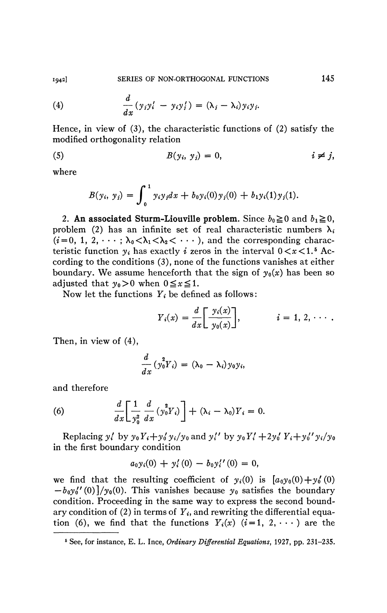(4) 
$$
\frac{d}{dx}(y_iy_i' - y_iy_j') = (\lambda_i - \lambda_i)y_iy_j.
$$

Hence, in view of (3), the characteristic functions of (2) satisfy the modified orthogonality relation

$$
(5) \tB(y_i, y_j) = 0, \t i \neq j,
$$

where

$$
B(y_i, y_j) = \int_0^1 y_i y_j dx + b_0 y_i(0) y_j(0) + b_1 y_i(1) y_j(1).
$$

2. An associated Sturm-Liouville problem. Since  $b_0 \ge 0$  and  $b_1 \ge 0$ , problem (2) has an infinite set of real characteristic numbers  $\lambda_i$  $(i=0, 1, 2, \dots; \lambda_0 < \lambda_1 < \lambda_2 < \dots$ , and the corresponding characteristic function  $y_i$  has exactly i zeros in the interval  $0 < x < 1$ .<sup>5</sup> According to the conditions (3), none of the functions vanishes at either boundary. We assume henceforth that the sign of  $y_0(x)$  has been so adjusted that  $y_0>0$  when  $0 \le x \le 1$ .

Now let the functions  $Y_i$  be defined as follows:

$$
Y_i(x) = \frac{d}{dx} \left[ \frac{y_i(x)}{y_0(x)} \right], \qquad i = 1, 2, \cdots.
$$

Then, in view of (4),

$$
\frac{d}{dx}\left(y_0^2Y_i\right)=(\lambda_0-\lambda_i)y_0y_i,
$$

and therefore

(6) 
$$
\frac{d}{dx} \left[ \frac{1}{y_0^2} \frac{d}{dx} (y_0^2 Y_i) \right] + (\lambda_i - \lambda_0) Y_i = 0.
$$

Replacing  $y'_i$  by  $y_0Y_i + y'_0y_i/y_0$  and  $y''_i$  by  $y_0Y'_i + 2y'_0Y_i + y'_0y_i/y_0$ in the first boundary condition

$$
a_0y_i(0) + y_i'(0) - b_0y_i''(0) = 0,
$$

we find that the resulting coefficient of  $y_i(0)$  is  $[a_0y_0(0) + y_0'(0)$  $-b_0y_0''(0)/y_0(0)$ . This vanishes because  $y_0$  satisfies the boundary condition. Proceeding in the same way to express the second boundary condition of (2) in terms of  $Y_i$ , and rewriting the differential equation (6), we find that the functions  $Y_i(x)$   $(i = 1, 2, \cdots)$  are the

<sup>6</sup> See, for instance, E. L. Ince, *Ordinary Differential Equations,* 1927, pp. 231-235.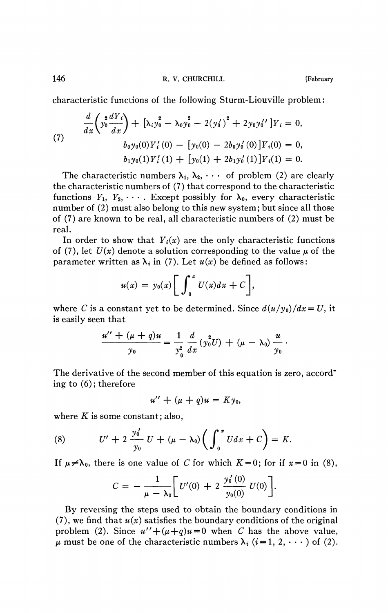characteristic functions of the following Sturm-Liouville problem :

(7) 
$$
\frac{d}{dx}\left(y_0^2 \frac{dY_i}{dx}\right) + \left[\lambda_i y_0^2 - \lambda_0 y_0^2 - 2(y_0')^2 + 2y_0 y_0''\right]Y_i = 0,
$$

$$
b_0 y_0(0) Y_i'(0) - \left[y_0(0) - 2b_0 y_0'(0)\right]Y_i(0) = 0,
$$

$$
b_1 y_0(1) Y_i'(1) + \left[y_0(1) + 2b_1 y_0'(1)\right]Y_i(1) = 0.
$$

The characteristic numbers  $\lambda_1, \lambda_2, \cdots$  of problem (2) are clearly the characteristic numbers of (7) that correspond to the characteristic functions  $Y_1, Y_2, \cdots$ . Except possibly for  $\lambda_0$ , every characteristic number of (2) must also belong to this new system; but since all those of (7) are known to be real, all characteristic numbers of (2) must be real.

In order to show that  $Y_i(x)$  are the only characteristic functions of (7), let  $U(x)$  denote a solution corresponding to the value  $\mu$  of the parameter written as  $\lambda_i$  in (7). Let  $u(x)$  be defined as follows:

$$
u(x) = y_0(x) \bigg[ \int_0^x U(x) dx + C \bigg],
$$

where *C* is a constant yet to be determined. Since  $d(u/y_0)/dx = U$ , it is easily seen that

$$
\frac{u'' + (\mu + q)u}{y_0} = \frac{1}{y_0^2} \frac{d}{dx} (y_0^2 U) + (\mu - \lambda_0) \frac{u}{y_0}.
$$

The derivative of the second member of this equation is zero, accord<sup>-</sup> ing to (6) ; therefore

$$
u'' + (\mu + q)u = Ky_0,
$$

where *K* is some constant; also,

(8) 
$$
U' + 2 \frac{y_0'}{y_0} U + (\mu - \lambda_0) \left( \int_0^x U dx + C \right) = K.
$$

If  $\mu \neq \lambda_0$ , there is one value of *C* for which  $K = 0$ ; for if  $x = 0$  in (8),

$$
C = -\frac{1}{\mu - \lambda_0} \bigg[ U'(0) + 2 \frac{y'_0(0)}{y_0(0)} U(0) \bigg].
$$

By reversing the steps used to obtain the boundary conditions in  $(7)$ , we find that  $u(x)$  satisfies the boundary conditions of the original problem (2). Since  $u'' + (\mu + q)u = 0$  when *C* has the above value,  $\mu$  must be one of the characteristic numbers  $\lambda_i$  (i=1, 2,  $\cdots$ ) of (2).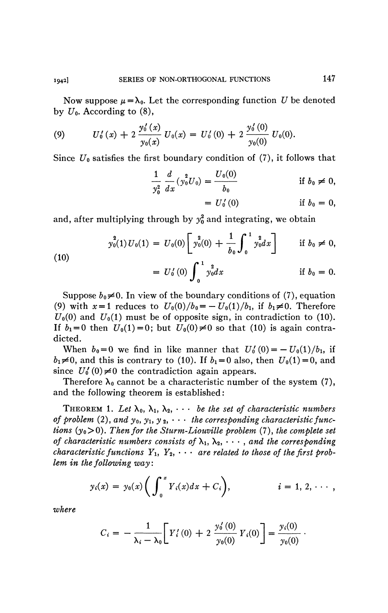Now suppose  $\mu = \lambda_0$ . Let the corresponding function *U* be denoted by  $U_0$ . According to (8),

(9) 
$$
U'_0(x) + 2 \frac{y'_0(x)}{y_0(x)} U_0(x) = U'_0(0) + 2 \frac{y'_0(0)}{y_0(0)} U_0(0).
$$

Since  $U_0$  satisfies the first boundary condition of (7), it follows that

$$
\frac{1}{y_0^2} \frac{d}{dx} (y_0^2 U_0) = \frac{U_0(0)}{b_0}
$$
 if  $b_0 \neq 0$ ,  
=  $U_0'(0)$  if  $b_0 = 0$ ,

and, after multiplying through by  $y_0^2$  and integrating, we obtain

(10)  

$$
y_0^2(1)U_0(1) = U_0(0)\left[y_0^2(0) + \frac{1}{b_0}\int_0^1 y_0^2 dx\right] \quad \text{if } b_0 \neq 0,
$$

$$
= U'_0(0)\int_0^1 y_0^2 dx \quad \text{if } b_0 = 0.
$$

Suppose  $b_0 \neq 0$ . In view of the boundary conditions of (7), equation (9) with  $x = 1$  reduces to  $U_0(0)/b_0 = -U_0(1)/b_1$ , if  $b_1 \neq 0$ . Therefore  $U_0(0)$  and  $U_0(1)$  must be of opposite sign, in contradiction to (10). If  $b_1 = 0$  then  $U_0(1) = 0$ ; but  $U_0(0) \neq 0$  so that (10) is again contradicted.

When  $b_0 = 0$  we find in like manner that  $U'_0(0) = -U_0(1)/b_1$ , if  $b_1\neq0$ , and this is contrary to (10). If  $b_1 = 0$  also, then  $U_0(1)=0$ , and since  $U_0'(0) \neq 0$  the contradiction again appears.

Therefore  $\lambda_0$  cannot be a characteristic number of the system (7), and the following theorem is established :

THEOREM 1. Let  $\lambda_0$ ,  $\lambda_1$ ,  $\lambda_2$ ,  $\cdots$  *be the set of characteristic numbers* of problem (2), and  $y_0, y_1, y_2, \cdots$  the corresponding characteristic func*tions*  $(y_0>0)$ *. Then for the Sturm-Liouville problem* (7)*, the complete set of characteristic numbers consists of*  $\lambda_1, \lambda_2, \cdots$ , *and the corresponding characteristic functions*  $Y_1, Y_2, \cdots$  *are related to those of the first problem in the following way* :

$$
y_i(x) = y_0(x) \bigg( \int_0^x Y_i(x) dx + C_i \bigg),
$$
   
  $i = 1, 2, \cdots,$ 

*where* 

$$
C_i = -\frac{1}{\lambda_i - \lambda_0} \bigg[ Y_i'(0) + 2 \frac{y_0'(0)}{y_0(0)} Y_i(0) \bigg] = \frac{y_i(0)}{y_0(0)}.
$$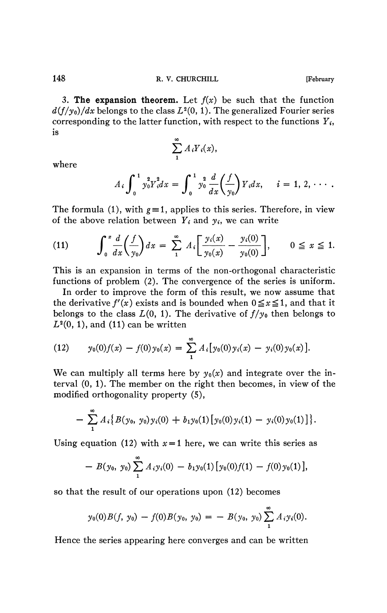3. The expansion theorem. Let  $f(x)$  be such that the function  $d(f/y_0)/dx$  belongs to the class  $L^2(0, 1)$ . The generalized Fourier series corresponding to the latter function, with respect to the functions  $Y_i$ , is

$$
\sum_{1}^{\infty} A_i Y_i(x)
$$

where

$$
A_i \int_0^1 y_0^2 Y_i^2 dx = \int_0^1 y_0^2 \frac{d}{dx} \left( \frac{f}{y_0} \right) Y_i dx, \quad i = 1, 2, \cdots.
$$

The formula (1), with  $g = 1$ , applies to this series. Therefore, in view of the above relation between  $Y_i$  and  $y_i$ , we can write

$$
(11) \qquad \int_0^x \frac{d}{dx} \left( \frac{f}{y_0} \right) dx = \sum_{1}^{\infty} A_i \left[ \frac{y_i(x)}{y_0(x)} - \frac{y_i(0)}{y_0(0)} \right], \qquad 0 \le x \le 1.
$$

This is an expansion in terms of the non-orthogonal characteristic functions of problem (2). The convergence of the series is uniform.

In order to improve the form of this result, we now assume that the derivative  $f'(x)$  exists and is bounded when  $0 \le x \le 1$ , and that it belongs to the class  $L(0, 1)$ . The derivative of  $f/y_0$  then belongs to  $L^2(0, 1)$ , and (11) can be written

(12) 
$$
y_0(0)f(x) - f(0)y_0(x) = \sum_{1}^{\infty} A_i [y_0(0)y_i(x) - y_i(0)y_0(x)].
$$

We can multiply all terms here by  $y_0(x)$  and integrate over the interval (0, 1). The member on the right then becomes, in view of the modified orthogonality property (5),

$$
- \sum_1^{\infty} A_i \{B(y_0, y_0)y_i(0) + b_1y_0(1)[y_0(0)y_i(1) - y_i(0)y_0(1)]\}.
$$

Using equation (12) with  $x=1$  here, we can write this series as

$$
- B(y_0, y_0) \sum_{1}^{\infty} A_i y_i(0) - b_1 y_0(1) [y_0(0) f(1) - f(0) y_0(1)],
$$

$$
y_0(0)B(f, y_0) - f(0)B(y_0, y_0) = - B(y_0, y_0) \sum_{1}^{\infty} A_i y_i(0).
$$

Hence the series appearing here converges and can be written